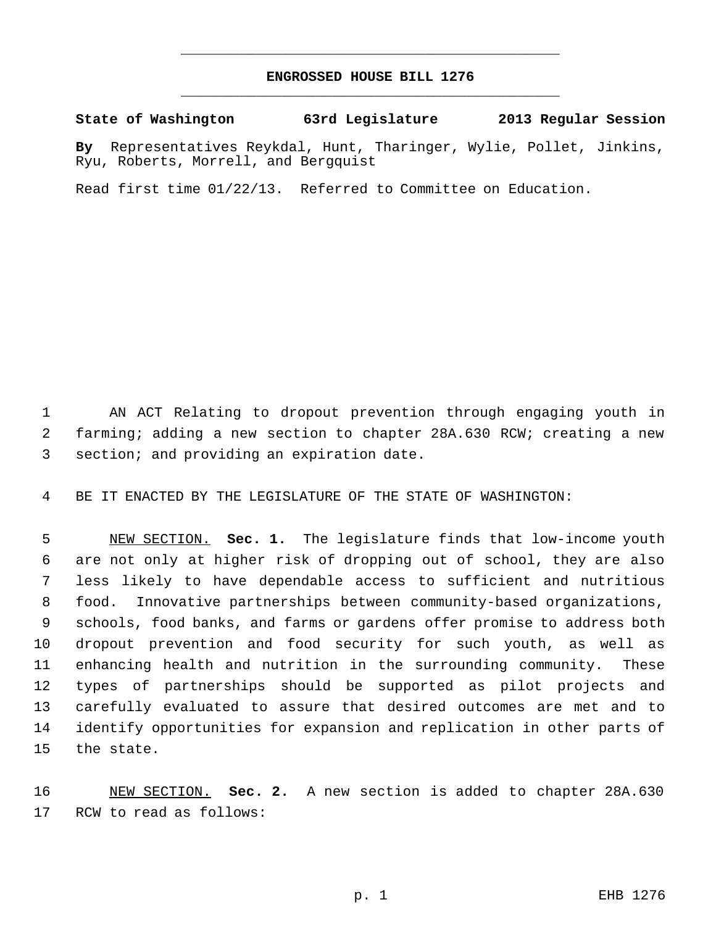## **ENGROSSED HOUSE BILL 1276** \_\_\_\_\_\_\_\_\_\_\_\_\_\_\_\_\_\_\_\_\_\_\_\_\_\_\_\_\_\_\_\_\_\_\_\_\_\_\_\_\_\_\_\_\_

\_\_\_\_\_\_\_\_\_\_\_\_\_\_\_\_\_\_\_\_\_\_\_\_\_\_\_\_\_\_\_\_\_\_\_\_\_\_\_\_\_\_\_\_\_

**State of Washington 63rd Legislature 2013 Regular Session**

**By** Representatives Reykdal, Hunt, Tharinger, Wylie, Pollet, Jinkins, Ryu, Roberts, Morrell, and Bergquist

Read first time 01/22/13. Referred to Committee on Education.

 AN ACT Relating to dropout prevention through engaging youth in farming; adding a new section to chapter 28A.630 RCW; creating a new section; and providing an expiration date.

BE IT ENACTED BY THE LEGISLATURE OF THE STATE OF WASHINGTON:

 NEW SECTION. **Sec. 1.** The legislature finds that low-income youth are not only at higher risk of dropping out of school, they are also less likely to have dependable access to sufficient and nutritious food. Innovative partnerships between community-based organizations, schools, food banks, and farms or gardens offer promise to address both dropout prevention and food security for such youth, as well as enhancing health and nutrition in the surrounding community. These types of partnerships should be supported as pilot projects and carefully evaluated to assure that desired outcomes are met and to identify opportunities for expansion and replication in other parts of the state.

 NEW SECTION. **Sec. 2.** A new section is added to chapter 28A.630 RCW to read as follows: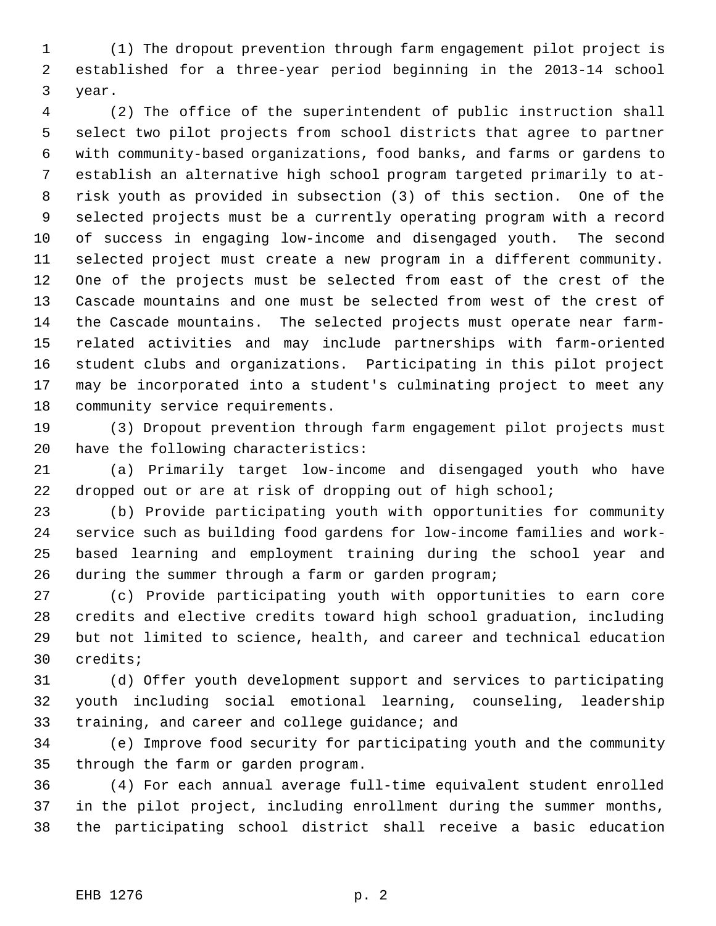(1) The dropout prevention through farm engagement pilot project is established for a three-year period beginning in the 2013-14 school year.

 (2) The office of the superintendent of public instruction shall select two pilot projects from school districts that agree to partner with community-based organizations, food banks, and farms or gardens to establish an alternative high school program targeted primarily to at- risk youth as provided in subsection (3) of this section. One of the selected projects must be a currently operating program with a record of success in engaging low-income and disengaged youth. The second selected project must create a new program in a different community. One of the projects must be selected from east of the crest of the Cascade mountains and one must be selected from west of the crest of the Cascade mountains. The selected projects must operate near farm- related activities and may include partnerships with farm-oriented student clubs and organizations. Participating in this pilot project may be incorporated into a student's culminating project to meet any community service requirements.

 (3) Dropout prevention through farm engagement pilot projects must have the following characteristics:

 (a) Primarily target low-income and disengaged youth who have 22 dropped out or are at risk of dropping out of high school;

 (b) Provide participating youth with opportunities for community service such as building food gardens for low-income families and work- based learning and employment training during the school year and during the summer through a farm or garden program;

 (c) Provide participating youth with opportunities to earn core credits and elective credits toward high school graduation, including but not limited to science, health, and career and technical education credits;

 (d) Offer youth development support and services to participating youth including social emotional learning, counseling, leadership training, and career and college guidance; and

 (e) Improve food security for participating youth and the community through the farm or garden program.

 (4) For each annual average full-time equivalent student enrolled in the pilot project, including enrollment during the summer months, the participating school district shall receive a basic education